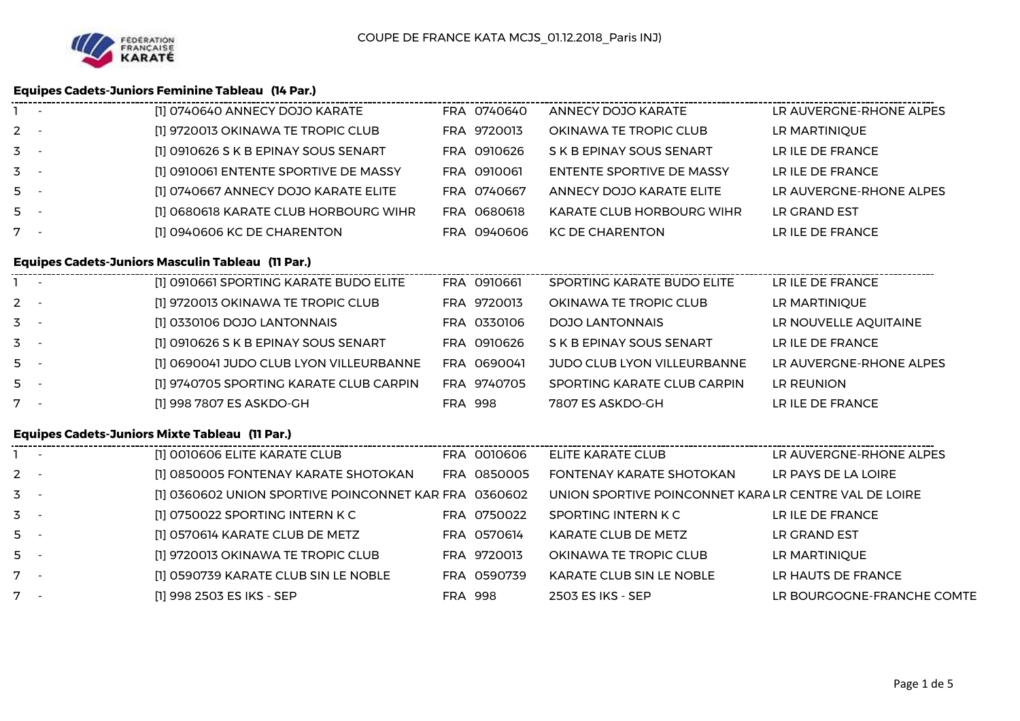

# **Equipes Cadets-Juniors Feminine Tableau (14 Par.)**

| LR AUVERGNE-RHONE ALPES<br>[1] 0740640 ANNECY DOJO KARATE<br>ANNECY DOJO KARATE                                     |  |
|---------------------------------------------------------------------------------------------------------------------|--|
| [1] 9720013 OKINAWA TE TROPIC CLUB<br>$2 -$<br>FRA 9720013<br>OKINAWA TE TROPIC CLUB<br>LR MARTINIQUE               |  |
| $3 -$<br>[1] 0910626 S K B EPINAY SOUS SENART<br>FRA 0910626<br>LR ILE DE FRANCE<br>S K B EPINAY SOUS SENART        |  |
| $3 -$<br>[1] 0910061 ENTENTE SPORTIVE DE MASSY<br>FRA 0910061<br>LR ILE DE FRANCE<br>ENTENTE SPORTIVE DE MASSY      |  |
| $5 -$<br>FRA 0740667<br>LR AUVERGNE-RHONE ALPES<br>[1] 0740667 ANNECY DOJO KARATE ELITE<br>ANNECY DOJO KARATE ELITE |  |
| $5 -$<br>FRA 0680618<br>[1] 0680618 KARATE CLUB HORBOURG WIHR<br>LR GRAND EST<br><b>KARATE CLUB HORBOURG WIHR</b>   |  |
| $7 -$<br>[1] 0940606 KC DE CHARENTON<br>LR ILE DE FRANCE<br>FRA 0940606<br><b>KC DE CHARENTON</b>                   |  |

### **Equipes Cadets-Juniors Masculin Tableau (11 Par.)**

|                  | $\mathbf{1}$ | [1] 0910661 SPORTING KARATE BUDO ELITE  | FRA 0910661    | SPORTING KARATE BUDO ELITE  | LR ILE DE FRANCE        |
|------------------|--------------|-----------------------------------------|----------------|-----------------------------|-------------------------|
| $2 -$            |              | [1] 9720013 OKINAWA TE TROPIC CLUB      | FRA 9720013    | OKINAWA TE TROPIC CLUB      | LR MARTINIQUE           |
| $3 -$            |              | [1] 0330106 DOJO LANTONNAIS             | FRA 0330106    | DOJO LANTONNAIS             | LR NOUVELLE AQUITAINE   |
| $\overline{3}$ - |              | [1] 0910626 S K B EPINAY SOUS SENART    | FRA 0910626    | S K B EPINAY SOUS SENART    | LR ILE DE FRANCE        |
| $5 -$            |              | [1] 0690041 JUDO CLUB LYON VILLEURBANNE | FRA 0690041    | JUDO CLUB LYON VILLEURBANNE | LR AUVERGNE-RHONE ALPES |
| $5 -$            |              | [1] 9740705 SPORTING KARATE CLUB CARPIN | FRA 9740705    | SPORTING KARATE CLUB CARPIN | LR REUNION              |
|                  |              | [1] 998 7807 ES ASKDO-GH                | <b>FRA 998</b> | 7807 ES ASKDO-GH            | LR ILE DE FRANCE        |
|                  |              |                                         |                |                             |                         |

## **Equipes Cadets-Juniors Mixte Tableau (11 Par.)**

| $\sim$ $\sim$ | [1] 0010606 ELITE KARATE CLUB                         |                | FRA 0010606 | ELITE KARATE CLUB                                     | LR AUVERGNE-RHONE ALPES    |
|---------------|-------------------------------------------------------|----------------|-------------|-------------------------------------------------------|----------------------------|
| $2 -$         | [1] 0850005 FONTENAY KARATE SHOTOKAN                  |                | FRA 0850005 | <b>FONTENAY KARATE SHOTOKAN</b>                       | LR PAYS DE LA LOIRE        |
| $3 -$         | [1] 0360602 UNION SPORTIVE POINCONNET KAR FRA 0360602 |                |             | UNION SPORTIVE POINCONNET KARA LR CENTRE VAL DE LOIRE |                            |
| $3 -$         | [1] 0750022 SPORTING INTERN K C                       |                | FRA 0750022 | SPORTING INTERN K C                                   | LR ILE DE FRANCE           |
| $5 -$         | [1] 0570614 KARATE CLUB DE METZ                       |                | FRA 0570614 | KARATE CLUB DE METZ                                   | LR GRAND EST               |
| $5 -$         | [1] 9720013 OKINAWA TE TROPIC CLUB                    |                | FRA 9720013 | OKINAWA TE TROPIC CLUB                                | LR MARTINIQUE              |
| $7 -$         | [1] 0590739 KARATE CLUB SIN LE NOBLE                  |                | FRA 0590739 | KARATE CLUB SIN LE NOBLE                              | LR HAUTS DE FRANCE         |
| $7 -$         | [1] 998 2503 ES IKS - SEP                             | <b>FRA 998</b> |             | 2503 ES IKS - SEP                                     | LR BOURGOGNE-FRANCHE COMTE |
|               |                                                       |                |             |                                                       |                            |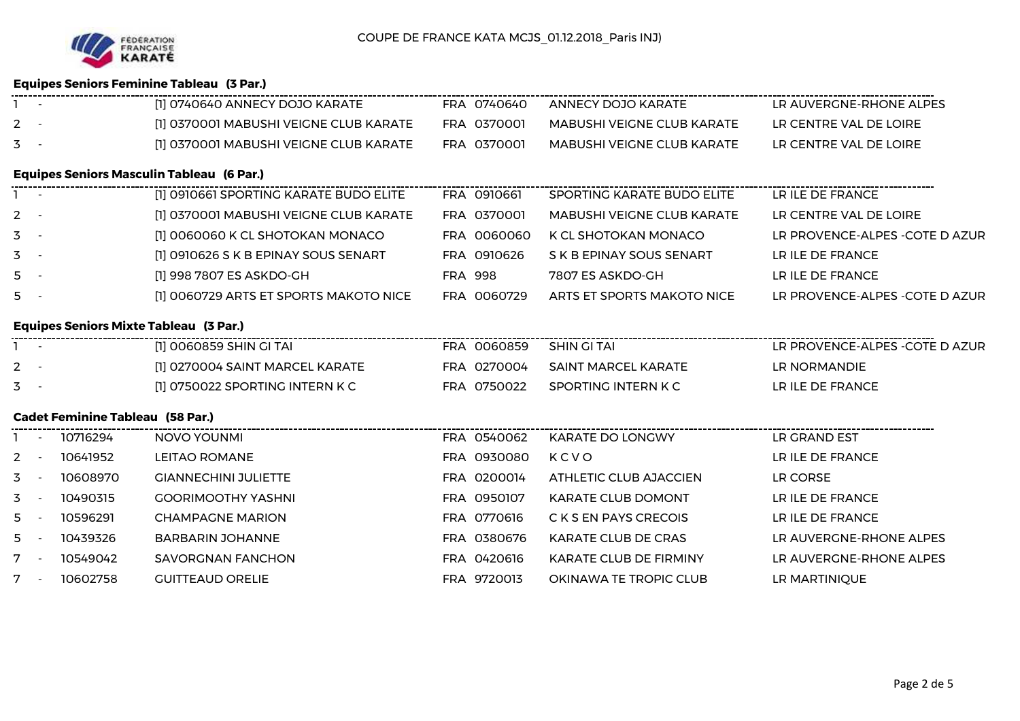

## **Equipes Seniors Feminine Tableau (3 Par.)**

|         |          | [1] 0740640 ANNECY DOJO KARATE                   | FRA 0740640    | ANNECY DOJO KARATE                | LR AUVERGNE-RHONE ALPES         |
|---------|----------|--------------------------------------------------|----------------|-----------------------------------|---------------------------------|
| $2 -$   |          | [1] 0370001 MABUSHI VEIGNE CLUB KARATE           | FRA 0370001    | <b>MABUSHI VEIGNE CLUB KARATE</b> | LR CENTRE VAL DE LOIRE          |
| $3 -$   |          | [1] 0370001 MABUSHI VEIGNE CLUB KARATE           | FRA 0370001    | <b>MABUSHI VEIGNE CLUB KARATE</b> | LR CENTRE VAL DE LOIRE          |
|         |          | <b>Equipes Seniors Masculin Tableau (6 Par.)</b> |                |                                   |                                 |
|         |          | [1] 0910661 SPORTING KARATE BUDO ELITE           | FRA 0910661    | SPORTING KARATE BUDO ELITE        | LR ILE DE FRANCE                |
| $2 -$   |          | [1] 0370001 MABUSHI VEIGNE CLUB KARATE           | FRA 0370001    | <b>MABUSHI VEIGNE CLUB KARATE</b> | LR CENTRE VAL DE LOIRE          |
| $3 -$   |          | [1] 0060060 K CL SHOTOKAN MONACO                 | FRA 0060060    | K CL SHOTOKAN MONACO              | LR PROVENCE-ALPES - COTE D AZUR |
| $3 -$   |          | [1] 0910626 S K B EPINAY SOUS SENART             | FRA 0910626    | S K B EPINAY SOUS SENART          | LR ILE DE FRANCE                |
| $5 -$   |          | [1] 998 7807 ES ASKDO-GH                         | <b>FRA 998</b> | 7807 ES ASKDO-GH                  | LR ILE DE FRANCE                |
| $5 -$   |          | [1] 0060729 ARTS ET SPORTS MAKOTO NICE           | FRA 0060729    | ARTS ET SPORTS MAKOTO NICE        | LR PROVENCE-ALPES - COTE D AZUR |
|         |          | <b>Equipes Seniors Mixte Tableau (3 Par.)</b>    |                |                                   |                                 |
|         |          | [1] 0060859 SHIN GI TAI                          | FRA 0060859    | SHIN GITAI                        | LR PROVENCE-ALPES - COTE D AZUR |
| $2 -$   |          | [1] 0270004 SAINT MARCEL KARATE                  | FRA 0270004    | SAINT MARCEL KARATE               | LR NORMANDIE                    |
| $3 -$   |          | [1] 0750022 SPORTING INTERN K C                  | FRA 0750022    | SPORTING INTERN K C               | LR ILE DE FRANCE                |
|         |          | <b>Cadet Feminine Tableau (58 Par.)</b>          |                |                                   |                                 |
|         | 10716294 | NOVO YOUNMI                                      | FRA 0540062    | KARATE DO LONGWY                  | LR GRAND EST                    |
| $2 -$   | 10641952 | LEITAO ROMANE                                    | FRA 0930080    | KCVO                              | LR ILE DE FRANCE                |
| $3 - 1$ | 10608970 | <b>GIANNECHINI JULIETTE</b>                      | FRA 0200014    | ATHLETIC CLUB AJACCIEN            | LR CORSE                        |
| $3 -$   | 10490315 | <b>GOORIMOOTHY YASHNI</b>                        | FRA 0950107    | <b>KARATE CLUB DOMONT</b>         | LR ILE DE FRANCE                |
| $5 -$   | 10596291 | <b>CHAMPAGNE MARION</b>                          | FRA 0770616    | C K S EN PAYS CRECOIS             | LR ILE DE FRANCE                |
| $5 -$   | 10439326 | <b>BARBARIN JOHANNE</b>                          | FRA 0380676    | KARATE CLUB DE CRAS               | LR AUVERGNE-RHONE ALPES         |
| $7 -$   | 10549042 | <b>SAVORGNAN FANCHON</b>                         | FRA 0420616    | KARATE CLUB DE FIRMINY            | LR AUVERGNE-RHONE ALPES         |
| $7 -$   | 10602758 | <b>GUITTEAUD ORELIE</b>                          | FRA 9720013    | OKINAWA TE TROPIC CLUB            | LR MARTINIQUE                   |
|         |          |                                                  |                |                                   |                                 |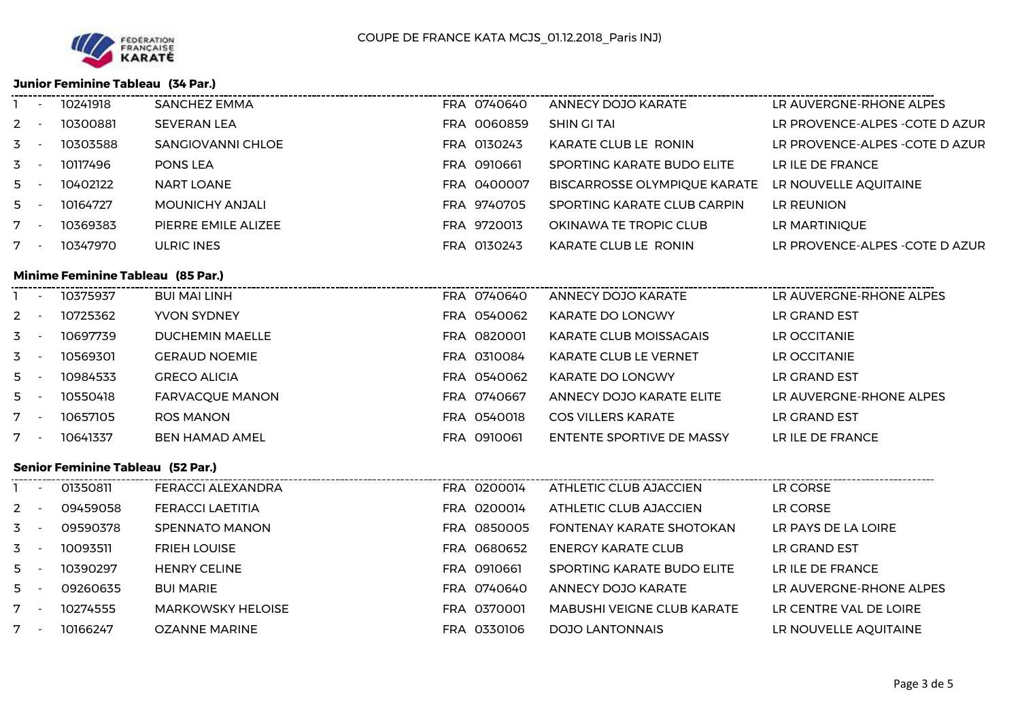

#### **Junior Feminine Tableau (34 Par.)**

|                | $\overline{\phantom{a}}$ | 10241918 | SANCHEZ EMMA        | FRA 0740640 | ANNECY DOJO KARATE                  | LR AUVERGNE-RHONE ALPES         |
|----------------|--------------------------|----------|---------------------|-------------|-------------------------------------|---------------------------------|
| $2 -$          |                          | 10300881 | <b>SEVERAN LEA</b>  | FRA 0060859 | SHIN GITAI                          | LR PROVENCE-ALPES -COTE D AZUR  |
| $\overline{5}$ |                          | 10303588 | SANGIOVANNI CHLOE   | FRA 0130243 | KARATE CLUB LE RONIN                | LR PROVENCE-ALPES - COTE D AZUR |
| $3 -$          |                          | 10117496 | <b>PONS LEA</b>     | FRA 0910661 | SPORTING KARATE BUDO ELITE          | LR ILE DE FRANCE                |
| 5              |                          | 10402122 | <b>NART LOANE</b>   | FRA 0400007 | <b>BISCARROSSE OLYMPIQUE KARATE</b> | LR NOUVELLE AQUITAINE           |
| $5 -$          |                          | 10164727 | MOUNICHY ANJALI     | FRA 9740705 | SPORTING KARATE CLUB CARPIN         | LR REUNION                      |
| 7              | $\overline{\phantom{a}}$ | 10369383 | PIERRE EMILE ALIZEE | FRA 9720013 | OKINAWA TE TROPIC CLUB              | LR MARTINIQUE                   |
|                |                          | 10347970 | ULRIC INES          | FRA 0130243 | KARATE CLUB LE RONIN                | LR PROVENCE-ALPES - COTE D AZUR |
|                |                          |          |                     |             |                                     |                                 |

# **Minime Feminine Tableau (85 Par.)**

|       | $\overline{\phantom{a}}$ | 10375937 | BUI MAI LINH           | FRA 0740640 | ANNECY DOJO KARATE            | LR AUVERGNE-RHONE ALPES |
|-------|--------------------------|----------|------------------------|-------------|-------------------------------|-------------------------|
| $2 -$ |                          | 10725362 | <b>YVON SYDNEY</b>     | FRA 0540062 | <b>KARATE DO LONGWY</b>       | LR GRAND EST            |
| $3 -$ |                          | 10697739 | <b>DUCHEMIN MAELLE</b> | FRA 0820001 | <b>KARATE CLUB MOISSAGAIS</b> | LR OCCITANIE            |
| $3 -$ |                          | 10569301 | <b>GERAUD NOEMIE</b>   | FRA 0310084 | <b>KARATE CLUB LE VERNET</b>  | LR OCCITANIE            |
| $5 -$ |                          | 10984533 | <b>GRECO ALICIA</b>    | FRA 0540062 | <b>KARATE DO LONGWY</b>       | LR GRAND EST            |
| $5 -$ |                          | 10550418 | <b>FARVACQUE MANON</b> | FRA 0740667 | ANNECY DOJO KARATE ELITE      | LR AUVERGNE-RHONE ALPES |
| $7 -$ |                          | 10657105 | ROS MANON              | FRA 0540018 | <b>COS VILLERS KARATE</b>     | LR GRAND EST            |
| $7 -$ |                          | 10641337 | <b>BEN HAMAD AMEL</b>  | FRA 0910061 | ENTENTE SPORTIVE DE MASSY     | LR ILE DE FRANCE        |

## **Senior Feminine Tableau (52 Par.)**

|                  | $\overline{\phantom{a}}$ | 01350811 | FERACCI ALEXANDRA        | FRA 0200014 | ATHLETIC CLUB AJACCIEN            | LR CORSE                |
|------------------|--------------------------|----------|--------------------------|-------------|-----------------------------------|-------------------------|
| $2 -$            |                          | 09459058 | <b>FERACCI LAETITIA</b>  | FRA 0200014 | ATHLETIC CLUB AJACCIEN            | LR CORSE                |
| $3 -$            |                          | 09590378 | SPENNATO MANON           | FRA 0850005 | <b>FONTENAY KARATE SHOTOKAN</b>   | LR PAYS DE LA LOIRE     |
| $\overline{3}$ - |                          | 10093511 | <b>FRIEH LOUISE</b>      | FRA 0680652 | ENERGY KARATE CLUB                | LR GRAND EST            |
| $5 -$            |                          | 10390297 | <b>HENRY CELINE</b>      | FRA 0910661 | SPORTING KARATE BUDO ELITE        | LR ILE DE FRANCE        |
| $5 -$            |                          | 09260635 | <b>BUI MARIE</b>         | FRA 0740640 | ANNECY DOJO KARATE                | LR AUVERGNE-RHONE ALPES |
| $7 -$            |                          | 10274555 | <b>MARKOWSKY HELOISE</b> | FRA 0370001 | <b>MABUSHI VEIGNE CLUB KARATE</b> | LR CENTRE VAL DE LOIRE  |
| $7 -$            |                          | 10166247 | <b>OZANNE MARINE</b>     | FRA 0330106 | <b>DOJO LANTONNAIS</b>            | LR NOUVELLE AQUITAINE   |
|                  |                          |          |                          |             |                                   |                         |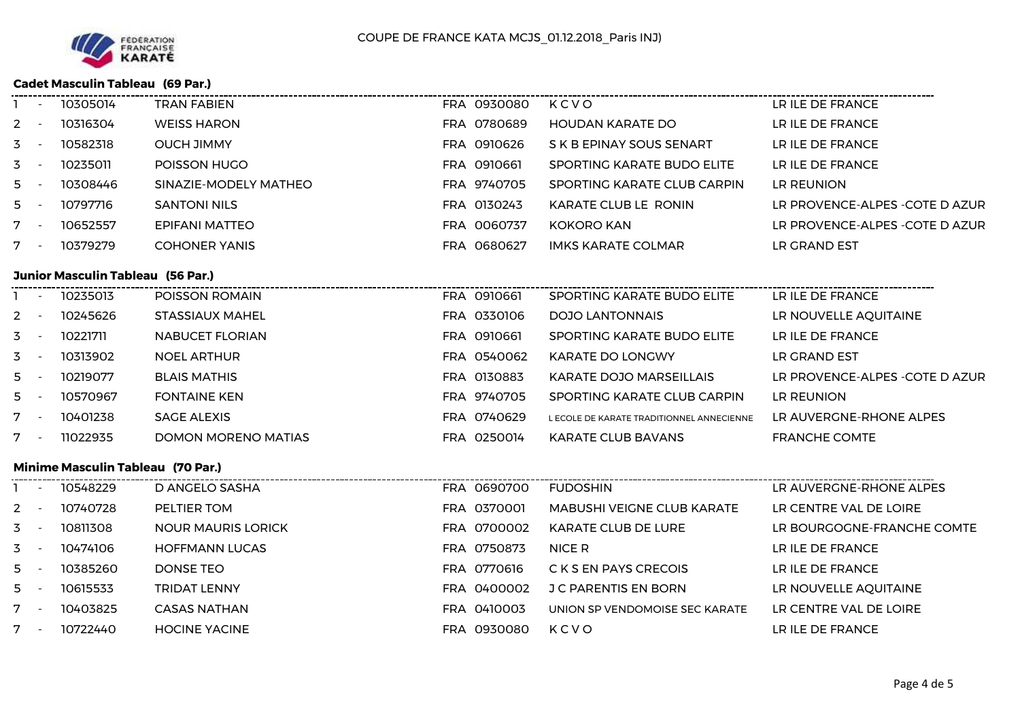

## **Cadet Masculin Tableau (69 Par.)**

|                           | - 10548229                               | D ANCELO SASHA             | EDA A69A7AA | <b>ELIDOSHIN</b>                          | <b>ID AINEDCNE-DHONE AIDES</b>  |
|---------------------------|------------------------------------------|----------------------------|-------------|-------------------------------------------|---------------------------------|
|                           | <b>Minime Masculin Tableau (70 Par.)</b> |                            |             |                                           |                                 |
| $7 -$                     | 11022935                                 | <b>DOMON MORENO MATIAS</b> | FRA 0250014 | KARATE CLUB BAVANS                        | <b>FRANCHE COMTE</b>            |
| $7 -$                     | 10401238                                 | <b>SAGE ALEXIS</b>         | FRA 0740629 | L ECOLE DE KARATE TRADITIONNEL ANNECIENNE | LR AUVERGNE-RHONE ALPES         |
| $5 -$                     | 10570967                                 | <b>FONTAINE KEN</b>        | FRA 9740705 | SPORTING KARATE CLUB CARPIN               | LR REUNION                      |
| $5 - 5$                   | 10219077                                 | <b>BLAIS MATHIS</b>        | FRA 0130883 | KARATE DOJO MARSEILLAIS                   | LR PROVENCE-ALPES - COTE D AZUR |
| $3 - 1$                   | 10313902                                 | <b>NOEL ARTHUR</b>         | FRA 0540062 | <b>KARATE DO LONGWY</b>                   | LR GRAND EST                    |
| $3 -$                     | 10221711                                 | <b>NABUCET FLORIAN</b>     | FRA 0910661 | SPORTING KARATE BUDO ELITE                | LR ILE DE FRANCE                |
| $2 -$                     | 10245626                                 | STASSIAUX MAHEL            | FRA 0330106 | <b>DOJO LANTONNAIS</b>                    | LR NOUVELLE AQUITAINE           |
|                           | 10235013                                 | POISSON ROMAIN             | FRA 0910661 | SPORTING KARATE BUDO ELITE                | LR ILE DE FRANCE                |
|                           | <b>Junior Masculin Tableau (56 Par.)</b> |                            |             |                                           |                                 |
| $7 -$                     | 10379279                                 | <b>COHONER YANIS</b>       | FRA 0680627 | <b>IMKS KARATE COLMAR</b>                 | LR GRAND EST                    |
| $7 -$                     | 10652557                                 | <b>EPIFANI MATTEO</b>      | FRA 0060737 | KOKORO KAN                                | LR PROVENCE-ALPES - COTE D AZUR |
| $5 -$                     | 10797716                                 | <b>SANTONI NILS</b>        | FRA 0130243 | KARATE CLUB LE RONIN                      | LR PROVENCE-ALPES - COTE D AZUR |
| $5 -$                     | 10308446                                 | SINAZIE-MODELY MATHEO      | FRA 9740705 | SPORTING KARATE CLUB CARPIN               | LR REUNION                      |
| $3 - 1$                   | 10235011                                 | POISSON HUGO               | FRA 0910661 | SPORTING KARATE BUDO ELITE                | LR ILE DE FRANCE                |
| $3 - 1$                   | 10582318                                 | <b>OUCH JIMMY</b>          | FRA 0910626 | S K B EPINAY SOUS SENART                  | LR ILE DE FRANCE                |
| $2^{\circ}$<br>$\sim$ $-$ | 10316304                                 | <b>WEISS HARON</b>         | FRA 0780689 | <b>HOUDAN KARATE DO</b>                   | LR ILE DE FRANCE                |
|                           | 10305014                                 | <b>TRAN FABIEN</b>         | FRA 0930080 | KCVO                                      | LR ILE DE FRANCE                |

|       | $\overline{\phantom{a}}$ | 10548229 | D ANGELO SASHA            | FRA 0690700 | <b>FUDOSHIN</b>                   | LR AUVERGNE-RHONE ALPES    |
|-------|--------------------------|----------|---------------------------|-------------|-----------------------------------|----------------------------|
| $2 -$ |                          | 10740728 | PELTIER TOM               | FRA 0370001 | <b>MABUSHI VEIGNE CLUB KARATE</b> | LR CENTRE VAL DE LOIRE     |
| $3 -$ |                          | 10811308 | <b>NOUR MAURIS LORICK</b> | FRA 0700002 | KARATE CLUB DE LURE               | LR BOURGOGNE-FRANCHE COMTE |
| $3 -$ |                          | 10474106 | <b>HOFFMANN LUCAS</b>     | FRA 0750873 | NICE R                            | LR ILE DE FRANCE           |
| $5 -$ |                          | 10385260 | DONSE TEO                 | FRA 0770616 | C K S EN PAYS CRECOIS             | LR ILE DE FRANCE           |
| $5 -$ |                          | 10615533 | <b>TRIDAT LENNY</b>       | FRA 0400002 | <b>J C PARENTIS EN BORN</b>       | LR NOUVELLE AQUITAINE      |
| $7 -$ |                          | 10403825 | <b>CASAS NATHAN</b>       | FRA 0410003 | UNION SP VENDOMOISE SEC KARATE    | LR CENTRE VAL DE LOIRE     |
| $7 -$ |                          | 10722440 | <b>HOCINE YACINE</b>      | FRA 0930080 | KCVO                              | LR ILE DE FRANCE           |
|       |                          |          |                           |             |                                   |                            |